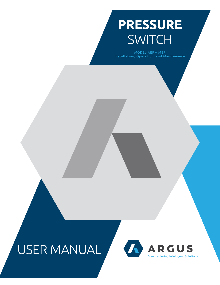# **PRESSURE SWITCH**

MODEL AEF - MBF Installation, Operation, and Maintenance

# USER MANUAL

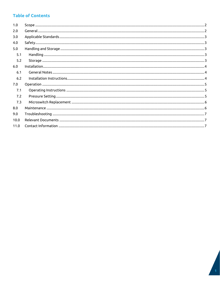## **Table of Contents**

| 1.0  |  |
|------|--|
| 2.0  |  |
| 3.0  |  |
| 4.0  |  |
| 5.0  |  |
| 5.1  |  |
| 5.2  |  |
| 6.0  |  |
| 6.1  |  |
| 6.2  |  |
| 7.0  |  |
| 7.1  |  |
| 7.2  |  |
| 7.3  |  |
| 8.0  |  |
| 9.0  |  |
| 10.0 |  |
| 11.0 |  |
|      |  |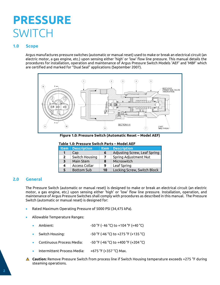## **PRESSURE SWITCH**

## <span id="page-2-0"></span>**1.0 Scope**

Argus manufactures pressure switches (automatic or manual reset) used to make or break an electrical circuit (an electric motor, a gas engine, etc.) upon sensing either 'high' or 'low' flow line pressure. This manual details the procedures for installation, operation and maintenance of Argus Pressure Switch Models 'AEF' and 'MBF' which are certified and marked for "Dual Seal" applications (September 2007).



**Figure 1.0: Pressure Switch (Automatic Reset – Model AEF)**

#### **Table 1.0: Pressure Switch Parts – Model AEF**

|              | <b>Item</b> Description |    | <b>Item   Description</b>    |
|--------------|-------------------------|----|------------------------------|
|              | Cap                     | 6  | Adjusting Screw, Leaf Spring |
| $\mathbf{2}$ | Switch Housing          |    | Spring Adjustment Nut        |
| 3            | Main Stem               | 8  | Microswitch                  |
| 4            | <b>Access Collar</b>    |    | Leaf Spring                  |
|              | <b>Bottom Sub</b>       | 10 | Locking Screw, Switch Block  |

## <span id="page-2-1"></span>**2.0 General**

The Pressure Switch (automatic or manual reset) is designed to make or break an electrical circuit (an electric motor, a gas engine, etc.) upon sensing either 'high' or 'low' flow line pressure. Installation, operation, and maintenance of Argus Pressure Switches shall comply with procedures as described in this manual. The Pressure Switch (automatic or manual reset) is designed for:

- Rated Maximum Operating Pressure of 5000 PSI (34,475 kPa).
- Allowable Temperature Ranges:
	- Ambient: -50 °F (-46 °C) to +104 °F (+40 °C)
	- Switch Housing: -50 °F (-46 °C) to +275 °F (+135 °C)
	- Continuous Process Media:  $-50 \degree$ F (-46 °C) to +400 °F (+204 °C)
	- Intermittent Process Media: +675 °F (+357 °C) Max.
- **Caution:** Remove Pressure Switch from process line if Switch Housing temperature exceeds +275 °F during steaming operations.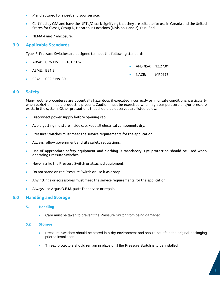- Manufactured for sweet and sour service.
- Certified by CSA and have the NRTL/C mark signifying that they are suitable for use in Canada and the United States for Class I, Group D, Hazardous Locations (Division 1 and 2), Dual Seal.
- NEMA 4 and 7 enclosure.

#### <span id="page-3-0"></span>**3.0 Applicable Standards**

Type 'F' Pressure Switches are designed to meet the following standards:

- ABSA: CRN No. OF2161.2134 • ASME: B31.3 • ANSI/ISA: 12.27.01
- CSA: C22.2 No. 30

#### <span id="page-3-1"></span>**4.0 Safety**

Many routine procedures are potentially hazardous if executed incorrectly or in unsafe conditions, particularly when toxic/flammable product is present. Caution must be exercised when high temperature and/or pressure exists in the system. Other precautions that should be observed are listed below:

NACE: MR0175

- Disconnect power supply before opening cap.
- Avoid getting moisture inside cap; keep all electrical components dry.
- Pressure Switches must meet the service requirements for the application.
- Always follow government and site safety regulations.
- Use of appropriate safety equipment and clothing is mandatory. Eye protection should be used when operating Pressure Switches.
- Never strike the Pressure Switch or attached equipment.
- Do not stand on the Pressure Switch or use it as a step.
- Any fittings or accessories must meet the service requirements for the application.
- Always use Argus O.E.M. parts for service or repair.

#### <span id="page-3-3"></span><span id="page-3-2"></span>**5.0 Handling and Storage**

#### **5.1 Handling**

• Care must be taken to prevent the Pressure Switch from being damaged.

#### <span id="page-3-4"></span>**5.2 Storage**

- Pressure Switches should be stored in a dry environment and should be left in the original packaging prior to installation.
- Thread protectors should remain in place until the Pressure Switch is to be installed.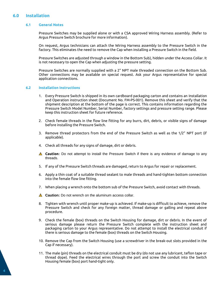### <span id="page-4-1"></span><span id="page-4-0"></span>**6.0 Installation**

#### **6.1 General Notes**

Pressure Switches may be supplied alone or with a CSA approved Wiring Harness assembly. (Refer to Argus Pressure Switch brochure for more information).

On request, Argus technicians can attach the Wiring Harness assembly to the Pressure Switch in the factory. This eliminates the need to remove the Cap when installing a Pressure Switch in the field.

Pressure Switches are adjusted through a window in the Bottom Sub), hidden under the Access Collar. It is not necessary to open the Cap when adjusting the pressure setting.

Pressure Switches are normally supplied with a 2" NPT male threaded connection on the Bottom Sub. Other connections may be available on special request. Ask your Argus representative for special application connections.

#### <span id="page-4-2"></span>**6.2 Installation Instructions**

- 1. Every Pressure Switch is shipped in its own cardboard packaging carton and contains an Installation and Operation instruction sheet (Document No. FM-PS-001). Remove this sheet and verify that the shipment description at the bottom of the page is correct. This contains information regarding the Pressure Switch Model Number, Serial Number, factory settings and pressure setting range. Please keep this instruction sheet for future reference.
- 2. Check female threads in the flow line fitting for any burrs, dirt, debris, or visible signs of damage before installing the Pressure Switch.
- 3. Remove thread protectors from the end of the Pressure Switch as well as the 1/2" NPT port (if applicable).
- 4. Check all threads for any signs of damage, dirt or debris.
- **△ Caution:** Do not attempt to install the Pressure Switch if there is any evidence of damage to any threads.
- 5. If any of the Pressure Switch threads are damaged, return to Argus for repair or replacement.
- 6. Apply a thin coat of a suitable thread sealant to male threads and hand-tighten bottom connection into the female flow line fitting.
- 7. When placing a wrench onto the bottom sub of the Pressure Switch, avoid contact with threads.
- **A** Caution: Do not wrench on the aluminum access collar.
- 8. Tighten with wrench until proper make-up is achieved. If make-up is difficult to achieve, remove the Pressure Switch and check for any foreign matter, thread damage or galling and repeat above procedure.
- 9. Check the female (box) threads on the Switch Housing for damage, dirt or debris. In the event of serious damage please return the Pressure Switch complete with the instruction sheet and packaging carton to your Argus representative. Do not attempt to install the electrical conduit if there is serious damage to the female (box) threads on the Switch Housing.
- 10. Remove the Cap from the Switch Housing (use a screwdriver in the break-out slots provided in the Cap if necessary).
- 11. The male (pin) threads on the electrical conduit must be dry (do not use any lubricant, teflon tape or thread dope). Feed the electrical wires through the port and screw the conduit into the Switch Housing female (box) port hand-tight only.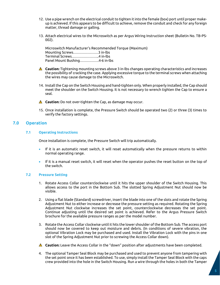- 12. Use a pipe wrench on the electrical conduit to tighten it into the female (box) port until proper makeup is achieved. If this appears to be difficult to achieve, remove the conduit and check for any foreign matter, thread damage or galling.
- 13. Attach electrical wires to the Microswitch as per Argus Wiring Instruction sheet (Bulletin No. TB-PS-002).

Microswitch Manufacturer's Recommended Torque (Maximum) Mounting Screws…………………3 in-lbs Terminal Screws…………………..4 in-lbs Panel Mount Bushing…………….4-6 in-lbs

- **Caution:** Tightening mounting screws above 3 in-lbs changes operating characteristics and increases the possibility of cracking the case. Applying excessive torque to the terminal screws when attaching the wires may cause damage to the Microswitch.
- 14. Install the Cap on the Switch Housing and hand-tighten only. When properly installed, the Cap should meet the shoulder on the Switch Housing. It is not necessary to wrench tighten the Cap to ensure a seal.
- **A** Caution: Do not over-tighten the Cap, as damage may occur.
- 15. Once installation is complete, the Pressure Switch should be operated two (2) or three (3) times to verify the factory settings.

#### <span id="page-5-1"></span><span id="page-5-0"></span>**7.0 Operation**

#### **7.1 Operating Instructions**

Once installation is complete, the Pressure Switch will trip automatically.

- If it is an automatic reset switch, it will reset automatically when the pressure returns to within normal operating range.
- If it is a manual reset switch, it will reset when the operator pushes the reset button on the top of the switch.

#### <span id="page-5-2"></span>**7.2 Pressure Setting**

- 1. Rotate Access Collar counterclockwise until it hits the upper shoulder of the Switch Housing. This allows access to the port in the Bottom Sub. The slotted Spring Adjustment Nut should now be visible.
- 2. Using a flat blade (Standard) screwdriver, insert the blade into one of the slots and rotate the Spring Adjustment Nut to either increase or decrease the pressure setting as required. Rotating the Spring Adjustment Nut clockwise increases the set point, counterclockwise decreases the set point. Continue adjusting until the desired set point is achieved. Refer to the Argus Pressure Switch brochure for the available pressure ranges as per the model number.
- 3. Rotate the Access Collar clockwise until it hits the lower shoulder of the Bottom Sub. The access port should now be covered to keep out moisture and debris. (In conditions of severe vibration, the optional Vibration Lock may be purchased and used. Install the Vibration Lock with the pins in one slot of the Spring Adjustment Nut prior to screwing the Access Collar down).
- **Caution:** Leave the Access Collar in the "down" position after adjustments have been completed.
- 4. The optional Tamper Seal Block may be purchased and used to prevent anyone from tampering with the set point once it has been established. To use, simply install the Tamper Seal Block with the caps crew provided into the hole in the Switch Housing. Run a wire through the holes in both the Tamper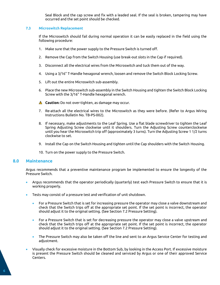Seal Block and the cap screw and fix with a leaded seal. If the seal is broken, tampering may have occurred and the set point should be checked.

#### <span id="page-6-0"></span>**7.3 Microswitch Replacement**

If the Microswitch should fail during normal operation it can be easily replaced in the field using the following procedure:

- 1. Make sure that the power supply to the Pressure Switch is turned off.
- 2. Remove the Cap from the Switch Housing (use break-out slots in the Cap if required).
- 3. Disconnect all the electrical wires from the Microswitch and tuck them out of the way.
- 4. Using a 3/16" T-Handle hexagonal wrench, loosen and remove the Switch Block Locking Screw.
- 5. Lift out the entire Microswitch sub-assembly.
- 6. Place the new Microswitch sub-assembly in the Switch Housing and tighten the Switch Block Locking Screw with the 3/16" T-Handle hexagonal wrench.
- **A** Caution: Do not over-tighten, as damage may occur.
- 7. Re-attach all the electrical wires to the Microswitch as they were before. (Refer to Argus Wiring Instructions Bulletin No. TB-PS-002).
- 8. If necessary, make adjustments to the Leaf Spring. Use a flat blade screwdriver to tighten the Leaf Spring Adjusting Screw clockwise until it shoulders. Turn the Adjusting Screw counterclockwise until you hear the Microswitch trip off (approximately 3 turns). Turn the Adjusting Screw 1 1/2 turns clockwise to set.
- 9. Install the Cap on the Switch Housing and tighten until the Cap shoulders with the Switch Housing.
- 10. Turn on the power supply to the Pressure Switch.

#### <span id="page-6-1"></span>**8.0 Maintenance**

Argus recommends that a preventive maintenance program be implemented to ensure the longevity of the Pressure Switch.

- Argus recommends that the operator periodically (quarterly) test each Pressure Switch to ensure that it is working properly.
- Tests may consist of a pressure test and verification of unit shutdown.
	- For a Pressure Switch that is set for increasing pressure the operator may close a valve downstream and check that the Switch trips off at the appropriate set point. If the set point is incorrect, the operator should adjust it to the original setting. (See Section 7.2 Pressure Setting).
	- For a Pressure Switch that is set for decreasing pressure the operator may close a valve upstream and check that the Switch trips off at the appropriate set point. If the set point is incorrect, the operator should adjust it to the original setting. (See Section 7.2 Pressure Setting).
	- The Pressure Switch may also be taken off the line and sent to an Argus Service Center for testing and adjustment.
- Visually check for excessive moisture in the Bottom Sub, by looking in the Access Port. If excessive moisture is present the Pressure Switch should be cleaned and serviced by Argus or one of their approved Service Centers.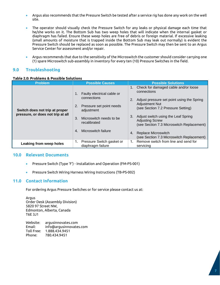- Argus also recommends that the Pressure Switch be tested after a service rig has done any work on the well site.
- The operator should visually check the Pressure Switch for any leaks or physical damage each time that he/she works on it. The Bottom Sub has two weep holes that will indicate when the internal gasket or diaphragm has failed. Ensure these weep holes are free of debris or foreign material. If excessive leaking (small amounts of moisture that is trapped inside the Bottom Sub may leak out normally) is evident the Pressure Switch should be replaced as soon as possible. The Pressure Switch may then be sent to an Argus Service Center for assessment and/or repair.
- Argus recommends that due to the sensitivity of the Microswitch the customer should consider carrying one (1) spare Microswitch sub-assembly in inventory for every ten (10) Pressure Switches in the field.

## <span id="page-7-0"></span>**9.0 Troubleshooting**

#### **Table 2.0: Problems & Possible Solutions**

| <b>Problem</b>                                                      | <b>Possible Causes</b>                                                                                                                                                            | <b>Possible Solutions</b>                                                                                                                                                                                                                                                                                                                                      |  |
|---------------------------------------------------------------------|-----------------------------------------------------------------------------------------------------------------------------------------------------------------------------------|----------------------------------------------------------------------------------------------------------------------------------------------------------------------------------------------------------------------------------------------------------------------------------------------------------------------------------------------------------------|--|
| Switch does not trip at proper<br>pressure, or does not trip at all | Faulty electrical cable or<br>connections<br>Pressure set point needs<br>2.<br>adjustment<br>Microswitch needs to be<br>3.<br>recalibrated<br>Microswitch failure<br>$\mathbf{A}$ | Check for damaged cable and/or loose<br>connections<br>Adjust pressure set point using the Spring<br><b>Adjustment Nut</b><br>(see Section 7.2 Pressure Setting)<br>Adjust switch using the Leaf Spring<br>3.<br><b>Adjusting Screw</b><br>(see Section 7.3 Microswitch Replacement)<br>Replace Microswitch<br>4.<br>(see Section 7.3 Microswitch Replacement) |  |
| Leaking from weep holes                                             | Pressure Switch gasket or<br>1.<br>diaphragm failure                                                                                                                              | Remove switch from line and send for<br>1.<br>servicing                                                                                                                                                                                                                                                                                                        |  |

#### <span id="page-7-1"></span>**10.0 Relevant Documents**

- Pressure Switch (Type 'F') Installation and Operation (FM-PS-001)
- Pressure Switch Wiring Harness Wiring Instructions (TB-PS-002)

#### <span id="page-7-2"></span>**11.0 Contact Information**

For ordering Argus Pressure Switches or for service please contact us at:

Argus Order Desk (Assembly Division) 5820 97 Street NW, Edmonton, Alberta, Canada T6E 3J1

Website: argusinnovates.com Email: info@argusinnovates.com Toll Free: 1.888.434.9451 Phone: 780.434.9451